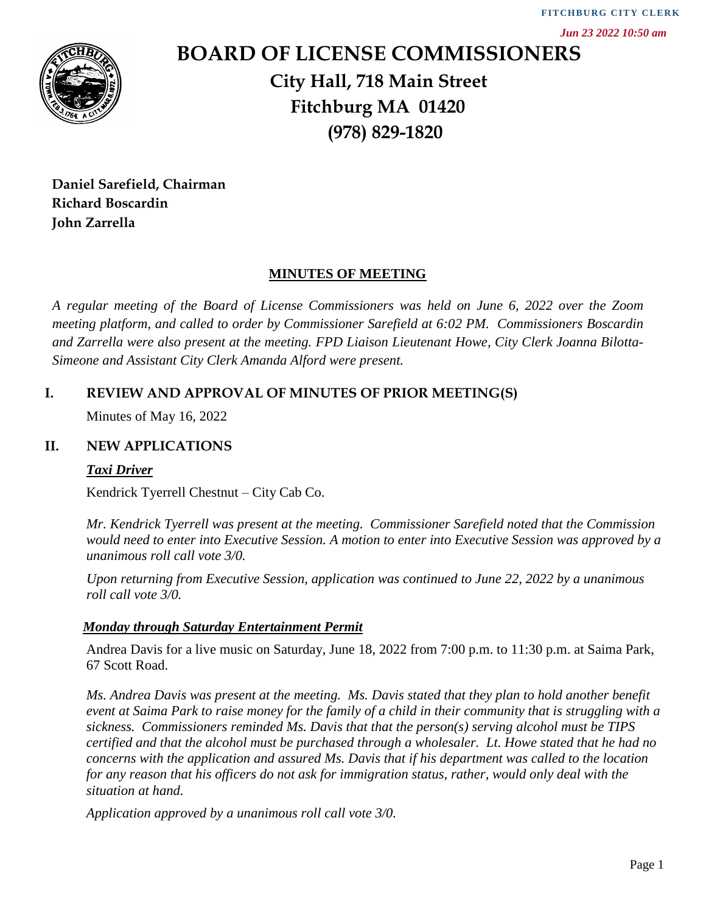

# **BOARD OF LICENSE COMMISSIONERS City Hall, 718 Main Street Fitchburg MA 01420 (978) 829-1820**

**Daniel Sarefield, Chairman Richard Boscardin John Zarrella**

## **MINUTES OF MEETING**

*A regular meeting of the Board of License Commissioners was held on June 6, 2022 over the Zoom meeting platform, and called to order by Commissioner Sarefield at 6:02 PM. Commissioners Boscardin and Zarrella were also present at the meeting. FPD Liaison Lieutenant Howe, City Clerk Joanna Bilotta-Simeone and Assistant City Clerk Amanda Alford were present.*

# **I. REVIEW AND APPROVAL OF MINUTES OF PRIOR MEETING(S)**

Minutes of May 16, 2022

## **II. NEW APPLICATIONS**

#### *Taxi Driver*

Kendrick Tyerrell Chestnut – City Cab Co.

*Mr. Kendrick Tyerrell was present at the meeting. Commissioner Sarefield noted that the Commission would need to enter into Executive Session. A motion to enter into Executive Session was approved by a unanimous roll call vote 3/0.* 

*Upon returning from Executive Session, application was continued to June 22, 2022 by a unanimous roll call vote 3/0.*

#### *Monday through Saturday Entertainment Permit*

Andrea Davis for a live music on Saturday, June 18, 2022 from 7:00 p.m. to 11:30 p.m. at Saima Park, 67 Scott Road.

*Ms. Andrea Davis was present at the meeting. Ms. Davis stated that they plan to hold another benefit event at Saima Park to raise money for the family of a child in their community that is struggling with a sickness. Commissioners reminded Ms. Davis that that the person(s) serving alcohol must be TIPS certified and that the alcohol must be purchased through a wholesaler. Lt. Howe stated that he had no concerns with the application and assured Ms. Davis that if his department was called to the location for any reason that his officers do not ask for immigration status, rather, would only deal with the situation at hand.* **Application and Construct CERNSE CONMISSIONERS**<br> **Application approved by a unanimous roll call vote 3/0.**<br> **Application approved by a unanimous roll call vote 3/0.**<br> **Application approved by a strategy of the Board of Li**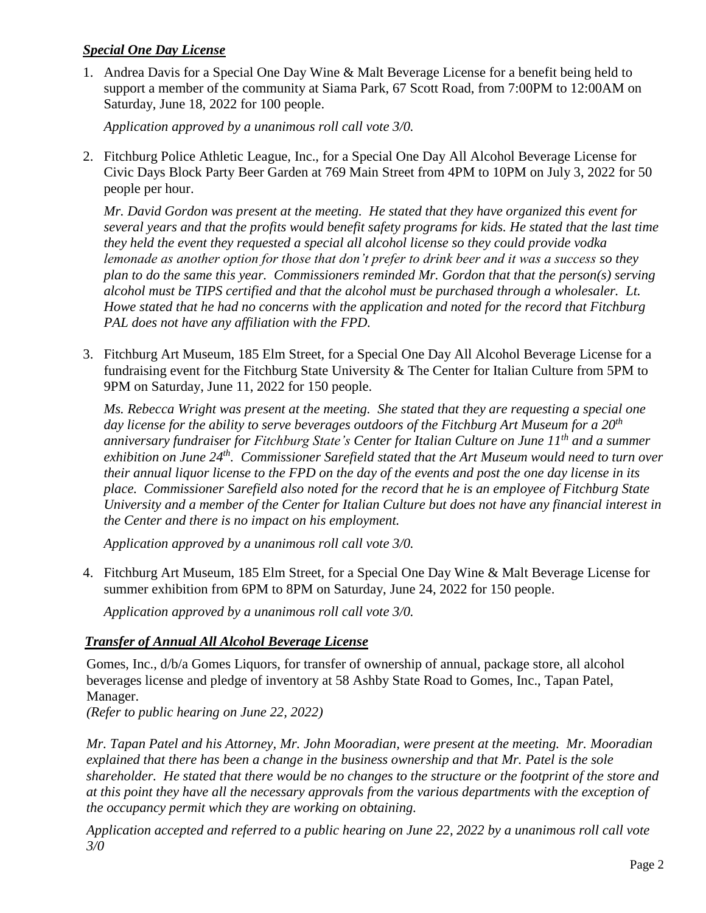### *Special One Day License*

1. Andrea Davis for a Special One Day Wine & Malt Beverage License for a benefit being held to support a member of the community at Siama Park, 67 Scott Road, from 7:00PM to 12:00AM on Saturday, June 18, 2022 for 100 people.

*Application approved by a unanimous roll call vote 3/0.*

2. Fitchburg Police Athletic League, Inc., for a Special One Day All Alcohol Beverage License for Civic Days Block Party Beer Garden at 769 Main Street from 4PM to 10PM on July 3, 2022 for 50 people per hour.

*Mr. David Gordon was present at the meeting. He stated that they have organized this event for several years and that the profits would benefit safety programs for kids. He stated that the last time they held the event they requested a special all alcohol license so they could provide vodka lemonade as another option for those that don't prefer to drink beer and it was a success so they plan to do the same this year. Commissioners reminded Mr. Gordon that that the person(s) serving alcohol must be TIPS certified and that the alcohol must be purchased through a wholesaler. Lt. Howe stated that he had no concerns with the application and noted for the record that Fitchburg PAL does not have any affiliation with the FPD.* 

3. Fitchburg Art Museum, 185 Elm Street, for a Special One Day All Alcohol Beverage License for a fundraising event for the Fitchburg State University & The Center for Italian Culture from 5PM to 9PM on Saturday, June 11, 2022 for 150 people.

*Ms. Rebecca Wright was present at the meeting. She stated that they are requesting a special one day license for the ability to serve beverages outdoors of the Fitchburg Art Museum for a 20th anniversary fundraiser for Fitchburg State's Center for Italian Culture on June 11th and a summer exhibition on June 24th . Commissioner Sarefield stated that the Art Museum would need to turn over their annual liquor license to the FPD on the day of the events and post the one day license in its place. Commissioner Sarefield also noted for the record that he is an employee of Fitchburg State University and a member of the Center for Italian Culture but does not have any financial interest in the Center and there is no impact on his employment.* 

*Application approved by a unanimous roll call vote 3/0.*

4. Fitchburg Art Museum, 185 Elm Street, for a Special One Day Wine & Malt Beverage License for summer exhibition from 6PM to 8PM on Saturday, June 24, 2022 for 150 people.

*Application approved by a unanimous roll call vote 3/0.*

# *Transfer of Annual All Alcohol Beverage License*

Gomes, Inc., d/b/a Gomes Liquors, for transfer of ownership of annual, package store, all alcohol beverages license and pledge of inventory at 58 Ashby State Road to Gomes, Inc., Tapan Patel, Manager.

*(Refer to public hearing on June 22, 2022)* 

*Mr. Tapan Patel and his Attorney, Mr. John Mooradian, were present at the meeting. Mr. Mooradian explained that there has been a change in the business ownership and that Mr. Patel is the sole shareholder. He stated that there would be no changes to the structure or the footprint of the store and at this point they have all the necessary approvals from the various departments with the exception of the occupancy permit which they are working on obtaining.* 

*Application accepted and referred to a public hearing on June 22, 2022 by a unanimous roll call vote 3/0*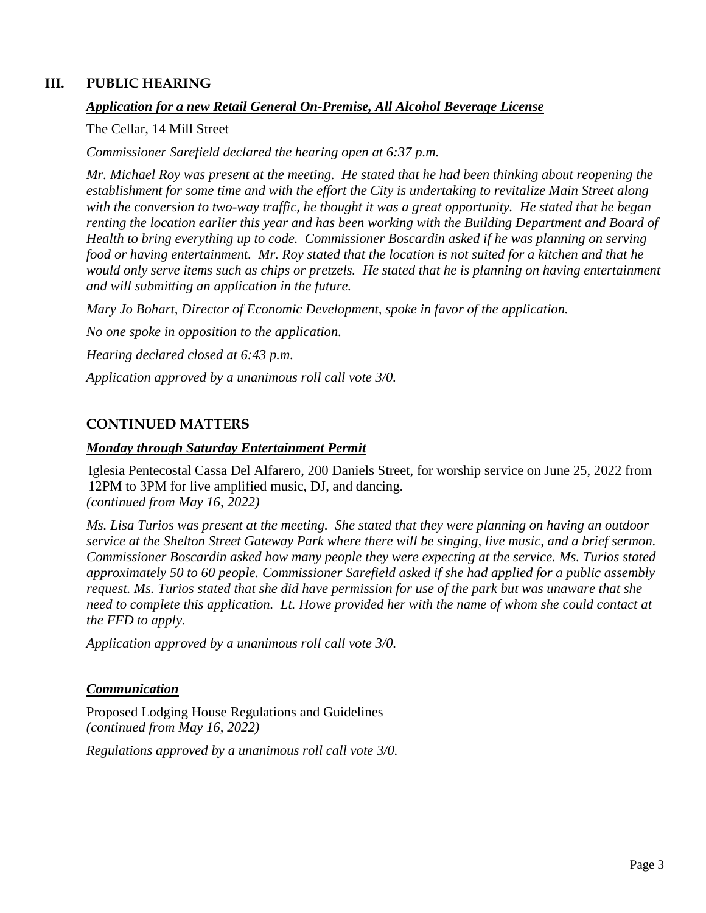### **III. PUBLIC HEARING**

#### *Application for a new Retail General On-Premise, All Alcohol Beverage License*

The Cellar, 14 Mill Street

*Commissioner Sarefield declared the hearing open at 6:37 p.m.* 

*Mr. Michael Roy was present at the meeting. He stated that he had been thinking about reopening the establishment for some time and with the effort the City is undertaking to revitalize Main Street along with the conversion to two-way traffic, he thought it was a great opportunity. He stated that he began renting the location earlier this year and has been working with the Building Department and Board of Health to bring everything up to code. Commissioner Boscardin asked if he was planning on serving food or having entertainment. Mr. Roy stated that the location is not suited for a kitchen and that he would only serve items such as chips or pretzels. He stated that he is planning on having entertainment and will submitting an application in the future.* 

*Mary Jo Bohart, Director of Economic Development, spoke in favor of the application. No one spoke in opposition to the application. Hearing declared closed at 6:43 p.m.*

*Application approved by a unanimous roll call vote 3/0.*

#### **CONTINUED MATTERS**

#### *Monday through Saturday Entertainment Permit*

Iglesia Pentecostal Cassa Del Alfarero, 200 Daniels Street, for worship service on June 25, 2022 from 12PM to 3PM for live amplified music, DJ, and dancing. *(continued from May 16, 2022)*

*Ms. Lisa Turios was present at the meeting. She stated that they were planning on having an outdoor service at the Shelton Street Gateway Park where there will be singing, live music, and a brief sermon. Commissioner Boscardin asked how many people they were expecting at the service. Ms. Turios stated approximately 50 to 60 people. Commissioner Sarefield asked if she had applied for a public assembly request. Ms. Turios stated that she did have permission for use of the park but was unaware that she need to complete this application. Lt. Howe provided her with the name of whom she could contact at the FFD to apply.* 

*Application approved by a unanimous roll call vote 3/0.*

#### *Communication*

Proposed Lodging House Regulations and Guidelines *(continued from May 16, 2022)*

*Regulations approved by a unanimous roll call vote 3/0.*